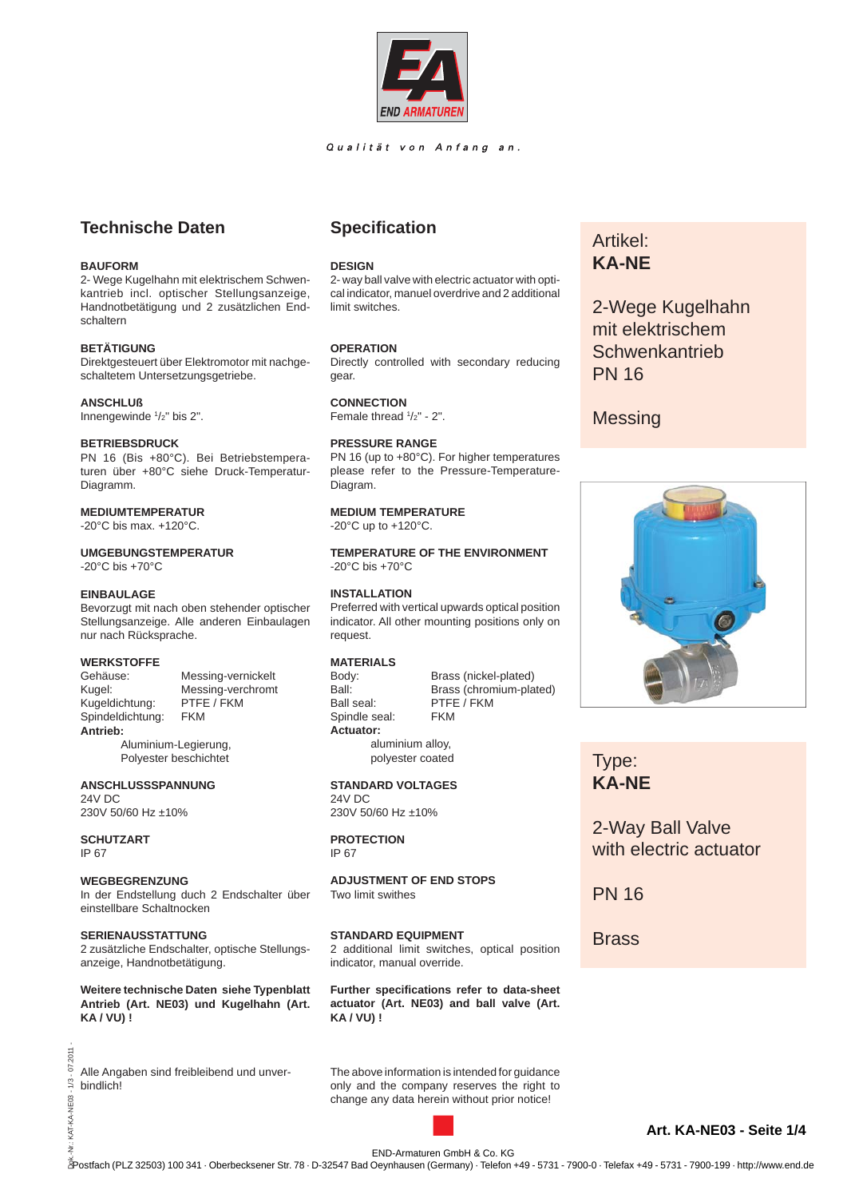

## Qualität von Anfang an.

# **Technische Daten**

## **BAUFORM**

2- Wege Kugelhahn mit elektrischem Schwenkantrieb incl. optischer Stellungsanzeige, Handnotbetätigung und 2 zusätzlichen Endschaltern

## **BETÄTIGUNG**

Direktgesteuert über Elektromotor mit nachgeschaltetem Untersetzungsgetriebe.

#### **ANSCHLUß**

Innengewinde 1 /2" bis 2".

## **BETRIEBSDRUCK**

PN 16 (Bis +80°C). Bei Betriebstemperaturen über +80°C siehe Druck-Temperatur-Diagramm.

## **MEDIUMTEMPERATUR**

-20°C bis max. +120°C.

## **UMGEBUNGSTEMPERATUR**

-20°C bis +70°C

## **EINBAULAGE**

Bevorzugt mit nach oben stehender optischer Stellungsanzeige. Alle anderen Einbaulagen nur nach Rücksprache.

## **WERKSTOFFE**

Kugel: Messing-verchromt<br>Kugeldichtung: PTFE / FKM Kugeldichtung: Spindeldichtung: FKM **Antrieb:**

Gehäuse: Messing-vernickelt

 Aluminium-Legierung, Polyester beschichtet

**ANSCHLUSSSPANNUNG** 24V DC 230V 50/60 Hz ±10%

**SCHUTZART**

IP 67

2011  $1/3 - 07$ .

KAT-KA-NE03-

## **WEGBEGRENZUNG** In der Endstellung duch 2 Endschalter über

einstellbare Schaltnocken

## **SERIENAUSSTATTUNG**

2 zusätzliche Endschalter, optische Stellungsanzeige, Handnotbetätigung.

**Weitere technische Daten siehe Typenblatt Antrieb (Art. NE03) und Kugelhahn (Art. KA / VU) !**

Alle Angaben sind freibleibend und unverbindlich!

## **Specifi cation**

## **DESIGN**

2- way ball valve with electric actuator with optical indicator, manuel overdrive and 2 additional limit switches.

## **OPERATION**

Directly controlled with secondary reducing gear.

## Female thread  $1/2" - 2"$ .

**CONNECTION**

## **PRESSURE RANGE**

PN 16 (up to +80°C). For higher temperatures please refer to the Pressure-Temperature-Diagram.

## **MEDIUM TEMPERATURE**

 $-20^{\circ}$ C up to  $+120^{\circ}$ C.

**TEMPERATURE OF THE ENVIRONMENT** -20°C bis +70°C

## **INSTALLATION**

Preferred with vertical upwards optical position indicator. All other mounting positions only on request.

# **MATERIALS**

Ball seal: PTFE / FKM Spindle seal: FKM **Actuator:**

Brass (nickel-plated) Ball: Brass (chromium-plated)

 aluminium alloy, polyester coated **STANDARD VOLTAGES**

24V DC 230V 50/60 Hz ±10%

#### **PROTECTION** IP 67

**ADJUSTMENT OF END STOPS** Two limit swithes

## **STANDARD EQUIPMENT**

2 additional limit switches, optical position indicator, manual override.

**Further specifications refer to data-sheet actuator (Art. NE03) and ball valve (Art. KA / VU) !**

The above information is intended for guidance only and the company reserves the right to change any data herein without prior notice!

# Artikel: **KA-NE**

2-Wege Kugelhahn mit elektrischem **Schwenkantrieb** PN 16

# **Messing**



Type: **KA-NE**

2-Way Ball Valve with electric actuator

PN 16

**Brass** 

END-Armaturen GmbH & Co. KG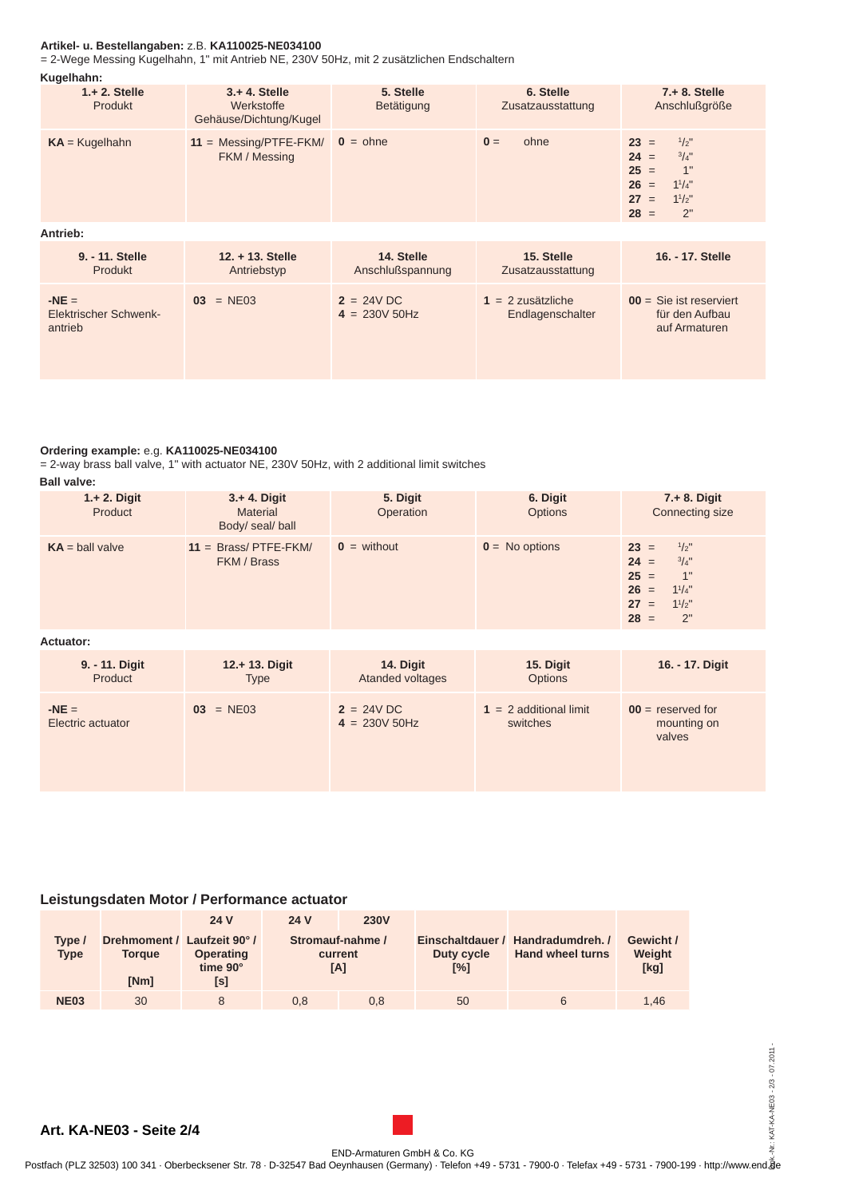## **Artikel- u. Bestellangaben:** z.B. **KA110025-NE034100**

= 2-Wege Messing Kugelhahn, 1" mit Antrieb NE, 230V 50Hz, mit 2 zusätzlichen Endschaltern

| Kugelhahn:                                         |                                                          |                                 |                                         |                                                                                                                                   |  |  |  |  |
|----------------------------------------------------|----------------------------------------------------------|---------------------------------|-----------------------------------------|-----------------------------------------------------------------------------------------------------------------------------------|--|--|--|--|
| $1 + 2$ . Stelle<br>Produkt                        | $3. + 4.$ Stelle<br>Werkstoffe<br>Gehäuse/Dichtung/Kugel | 5. Stelle<br>Betätigung         | 6. Stelle<br>Zusatzausstattung          | $7. + 8.$ Stelle<br>Anschlußgröße                                                                                                 |  |  |  |  |
| $KA = Kugelhahn$                                   | $11 =$ Messing/PTFE-FKM/<br>FKM / Messing                | $0 = \text{ohne}$               | ohne<br>$\mathbf{0} =$                  | $1/2$ "<br>$23 =$<br>$24 =$<br>$^{3}/_{4}$ "<br>$25 =$<br>1"<br>$26 =$<br>$1^{1}/4$ "<br>27<br>$1^{1}/2$ "<br>$=$<br>$28 =$<br>2" |  |  |  |  |
| Antrieb:                                           |                                                          |                                 |                                         |                                                                                                                                   |  |  |  |  |
| 9. - 11. Stelle<br>Produkt                         | $12. + 13.$ Stelle<br>Antriebstyp                        | 14. Stelle<br>Anschlußspannung  | 15. Stelle<br>Zusatzausstattung         | 16. - 17. Stelle                                                                                                                  |  |  |  |  |
| $-NE =$<br><b>Elektrischer Schwenk-</b><br>antrieb | $= NE03$<br>03                                           | $2 = 24V$ DC<br>$4 = 230V 50Hz$ | $1 = 2$ zusätzliche<br>Endlagenschalter | $00 =$ Sie ist reserviert<br>für den Aufbau<br>auf Armaturen                                                                      |  |  |  |  |

## **Ordering example:** e.g. **KA110025-NE034100**

= 2-way brass ball valve, 1" with actuator NE, 230V 50Hz, with 2 additional limit switches **Ball valve:**

| Pun vulvu.                 |                                                        |                        |                            |                                                                                                                          |  |  |  |
|----------------------------|--------------------------------------------------------|------------------------|----------------------------|--------------------------------------------------------------------------------------------------------------------------|--|--|--|
| $1 + 2$ . Digit<br>Product | $3 + 4$ . Digit<br><b>Material</b><br>Body/ seal/ ball | 5. Digit<br>Operation  | 6. Digit<br><b>Options</b> | $7. + 8.$ Digit<br>Connecting size                                                                                       |  |  |  |
| $KA = ball value$          | $11 =$ Brass/PTFE-FKM/<br>FKM / Brass                  | $\mathbf{0}$ = without | $0 = No$ options           | $1/2$ "<br>$23 =$<br>$^{3}/4"$<br>$24 =$<br>$25 =$<br>1"<br>$1^{1}/4$ "<br>$26 =$<br>$1^{1}/2$<br>$27 =$<br>2"<br>$28 =$ |  |  |  |

**Actuator:**

| 9. - 11. Digit               | 12.+ 13. Digit | 14. Digit                      | 15. Digit                            | 16. - 17. Digit                              |
|------------------------------|----------------|--------------------------------|--------------------------------------|----------------------------------------------|
| Product                      | <b>Type</b>    | Atanded voltages               | <b>Options</b>                       |                                              |
| $-NE =$<br>Electric actuator | $03 = NE03$    | $2 = 24VDC$<br>$4 = 230V 50Hz$ | $1 = 2$ additional limit<br>switches | $00 =$ reserved for<br>mounting on<br>valves |

## **Leistungsdaten Motor / Performance actuator**

| Tvpe /<br><b>Type</b> | Drehmoment / Laufzeit 90°/<br><b>Torque</b><br>[Nm] | 24 V<br><b>Operating</b><br>time 90°<br>[s] | 24 V | <b>230V</b><br>Stromauf-nahme /<br>current<br>[A] | Duty cycle<br>$N^{\circ}$ | Einschaltdauer / Handradumdreh. /<br><b>Hand wheel turns</b> | Gewicht /<br>Weight<br>[kg] |
|-----------------------|-----------------------------------------------------|---------------------------------------------|------|---------------------------------------------------|---------------------------|--------------------------------------------------------------|-----------------------------|
| <b>NE03</b>           | 30                                                  |                                             | 0.8  | 0.8                                               | 50                        |                                                              | 1.46                        |

**Art. KA-NE03 - Seite 2/4**